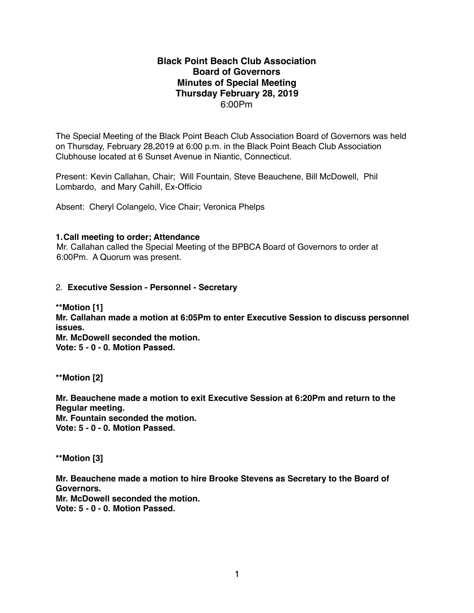## **Black Point Beach Club Association Board of Governors Minutes of Special Meeting Thursday February 28, 2019** 6:00Pm

The Special Meeting of the Black Point Beach Club Association Board of Governors was held on Thursday, February 28,2019 at 6:00 p.m. in the Black Point Beach Club Association Clubhouse located at 6 Sunset Avenue in Niantic, Connecticut.

Present: Kevin Callahan, Chair; Will Fountain, Steve Beauchene, Bill McDowell, Phil Lombardo, and Mary Cahill, Ex-Officio

Absent: Cheryl Colangelo, Vice Chair; Veronica Phelps

## **1.Call meeting to order; Attendance**

Mr. Callahan called the Special Meeting of the BPBCA Board of Governors to order at 6:00Pm. A Quorum was present.

## 2. **Executive Session - Personnel - Secretary**

**\*\*Motion [1] Mr. Callahan made a motion at 6:05Pm to enter Executive Session to discuss personnel issues. Mr. McDowell seconded the motion. Vote: 5 - 0 - 0. Motion Passed.**

**\*\*Motion [2]**

**Mr. Beauchene made a motion to exit Executive Session at 6:20Pm and return to the Regular meeting. Mr. Fountain seconded the motion. Vote: 5 - 0 - 0. Motion Passed.**

**\*\*Motion [3]**

**Mr. Beauchene made a motion to hire Brooke Stevens as Secretary to the Board of Governors. Mr. McDowell seconded the motion. Vote: 5 - 0 - 0. Motion Passed.**